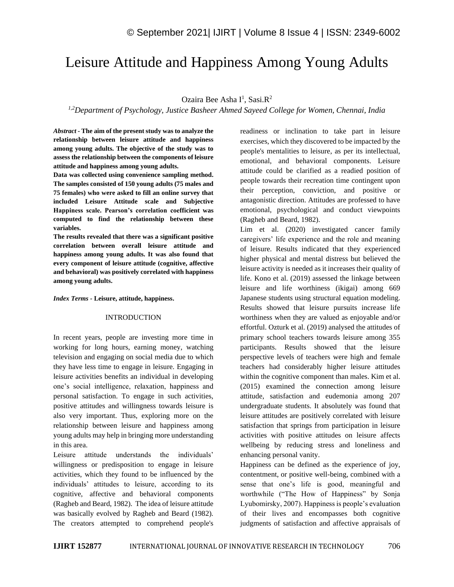# Leisure Attitude and Happiness Among Young Adults

## Ozaira Bee Asha I<sup>1</sup>, Sasi.R<sup>2</sup>

*1,2Department of Psychology, Justice Basheer Ahmed Sayeed College for Women, Chennai, India*

*Abstract -* **The aim of the present study was to analyze the relationship between leisure attitude and happiness among young adults. The objective of the study was to assess the relationship between the components of leisure attitude and happiness among young adults.** 

**Data was collected using convenience sampling method. The samples consisted of 150 young adults (75 males and 75 females) who were asked to fill an online survey that included Leisure Attitude scale and Subjective Happiness scale. Pearson's correlation coefficient was computed to find the relationship between these variables.** 

**The results revealed that there was a significant positive correlation between overall leisure attitude and happiness among young adults. It was also found that every component of leisure attitude (cognitive, affective and behavioral) was positively correlated with happiness among young adults.**

#### *Index Terms -* **Leisure, attitude, happiness.**

#### INTRODUCTION

In recent years, people are investing more time in working for long hours, earning money, watching television and engaging on social media due to which they have less time to engage in leisure. Engaging in leisure activities benefits an individual in developing one's social intelligence, relaxation, happiness and personal satisfaction. To engage in such activities, positive attitudes and willingness towards leisure is also very important. Thus, exploring more on the relationship between leisure and happiness among young adults may help in bringing more understanding in this area.

Leisure attitude understands the individuals' willingness or predisposition to engage in leisure activities, which they found to be influenced by the individuals' attitudes to leisure, according to its cognitive, affective and behavioral components (Ragheb and Beard, 1982). The idea of leisure attitude was basically evolved by Ragheb and Beard (1982). The creators attempted to comprehend people's readiness or inclination to take part in leisure exercises, which they discovered to be impacted by the people's mentalities to leisure, as per its intellectual, emotional, and behavioral components. Leisure attitude could be clarified as a readied position of people towards their recreation time contingent upon their perception, conviction, and positive or antagonistic direction. Attitudes are professed to have emotional, psychological and conduct viewpoints (Ragheb and Beard, 1982).

Lim et al. (2020) investigated cancer family caregivers' life experience and the role and meaning of leisure. Results indicated that they experienced higher physical and mental distress but believed the leisure activity is needed as it increases their quality of life. Kono et al. (2019) assessed the linkage between leisure and life worthiness (ikigai) among 669 Japanese students using structural equation modeling. Results showed that leisure pursuits increase life worthiness when they are valued as enjoyable and/or effortful. Ozturk et al. (2019) analysed the attitudes of primary school teachers towards leisure among 355 participants. Results showed that the leisure perspective levels of teachers were high and female teachers had considerably higher leisure attitudes within the cognitive component than males. Kim et al. (2015) examined the connection among leisure attitude, satisfaction and eudemonia among 207 undergraduate students. It absolutely was found that leisure attitudes are positively correlated with leisure satisfaction that springs from participation in leisure activities with positive attitudes on leisure affects wellbeing by reducing stress and loneliness and enhancing personal vanity.

Happiness can be defined as the experience of joy, contentment, or positive well-being, combined with a sense that one's life is good, meaningful and worthwhile ("The How of Happiness" by Sonja Lyubomirsky, 2007). Happiness is people's evaluation of their lives and encompasses both cognitive judgments of satisfaction and affective appraisals of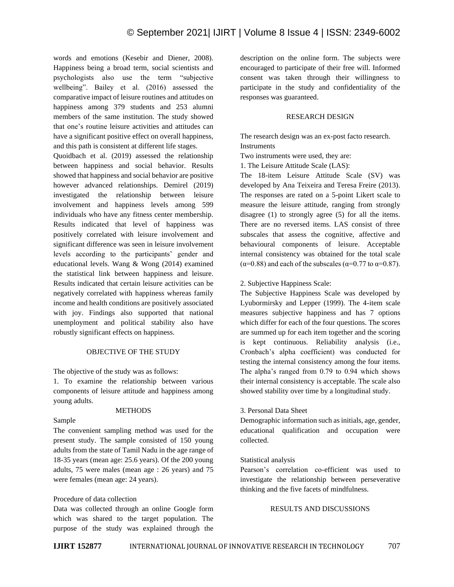words and emotions (Kesebir and Diener, 2008). Happiness being a broad term, social scientists and psychologists also use the term "subjective wellbeing". Bailey et al. (2016) assessed the comparative impact of leisure routines and attitudes on happiness among 379 students and 253 alumni members of the same institution. The study showed that one's routine leisure activities and attitudes can have a significant positive effect on overall happiness, and this path is consistent at different life stages.

Quoidbach et al. (2019) assessed the relationship between happiness and social behavior. Results showed that happiness and social behavior are positive however advanced relationships. Demirel (2019) investigated the relationship between leisure involvement and happiness levels among 599 individuals who have any fitness center membership. Results indicated that level of happiness was positively correlated with leisure involvement and significant difference was seen in leisure involvement levels according to the participants' gender and educational levels. Wang & Wong (2014) examined the statistical link between happiness and leisure. Results indicated that certain leisure activities can be negatively correlated with happiness whereas family income and health conditions are positively associated with joy. Findings also supported that national unemployment and political stability also have robustly significant effects on happiness.

### OBJECTIVE OF THE STUDY

The objective of the study was as follows:

1. To examine the relationship between various components of leisure attitude and happiness among young adults.

#### **METHODS**

## Sample

The convenient sampling method was used for the present study. The sample consisted of 150 young adults from the state of Tamil Nadu in the age range of 18-35 years (mean age: 25.6 years). Of the 200 young adults, 75 were males (mean age : 26 years) and 75 were females (mean age: 24 years).

#### Procedure of data collection

Data was collected through an online Google form which was shared to the target population. The purpose of the study was explained through the description on the online form. The subjects were encouraged to participate of their free will. Informed consent was taken through their willingness to participate in the study and confidentiality of the responses was guaranteed.

### RESEARCH DESIGN

The research design was an ex-post facto research. **Instruments** 

Two instruments were used, they are:

1. The Leisure Attitude Scale (LAS):

The 18-item Leisure Attitude Scale (SV) was developed by Ana Teixeira and Teresa Freire (2013). The responses are rated on a 5-point Likert scale to measure the leisure attitude, ranging from strongly disagree (1) to strongly agree (5) for all the items. There are no reversed items. LAS consist of three subscales that assess the cognitive, affective and behavioural components of leisure. Acceptable internal consistency was obtained for the total scale  $(\alpha=0.88)$  and each of the subscales  $(\alpha=0.77$  to  $\alpha=0.87)$ .

2. Subjective Happiness Scale:

The Subjective Happiness Scale was developed by Lyubormirsky and Lepper (1999). The 4-item scale measures subjective happiness and has 7 options which differ for each of the four questions. The scores are summed up for each item together and the scoring is kept continuous. Reliability analysis (i.e., Cronbach's alpha coefficient) was conducted for testing the internal consistency among the four items. The alpha's ranged from 0.79 to 0.94 which shows their internal consistency is acceptable. The scale also showed stability over time by a longitudinal study.

#### 3. Personal Data Sheet

Demographic information such as initials, age, gender, educational qualification and occupation were collected.

#### Statistical analysis

Pearson's correlation co-efficient was used to investigate the relationship between perseverative thinking and the five facets of mindfulness.

### RESULTS AND DISCUSSIONS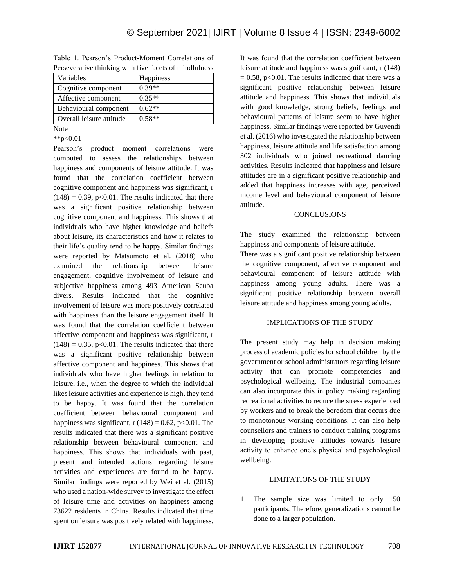| Variables                | <b>Happiness</b> |
|--------------------------|------------------|
| Cognitive component      | $0.39**$         |
| Affective component      | $0.35**$         |
| Behavioural component    | $0.62**$         |
| Overall leisure attitude | $0.58**$         |
|                          |                  |

Table 1. Pearson's Product-Moment Correlations of Perseverative thinking with five facets of mindfulness

Note

\*\*p<0.01

Pearson's product moment correlations were computed to assess the relationships between happiness and components of leisure attitude. It was found that the correlation coefficient between cognitive component and happiness was significant, r  $(148) = 0.39$ , p<0.01. The results indicated that there was a significant positive relationship between cognitive component and happiness. This shows that individuals who have higher knowledge and beliefs about leisure, its characteristics and how it relates to their life's quality tend to be happy. Similar findings were reported by Matsumoto et al. (2018) who examined the relationship between leisure engagement, cognitive involvement of leisure and subjective happiness among 493 American Scuba divers. Results indicated that the cognitive involvement of leisure was more positively correlated with happiness than the leisure engagement itself. It was found that the correlation coefficient between affective component and happiness was significant, r  $(148) = 0.35$ , p<0.01. The results indicated that there was a significant positive relationship between affective component and happiness. This shows that individuals who have higher feelings in relation to leisure, i.e., when the degree to which the individual likes leisure activities and experience is high, they tend to be happy. It was found that the correlation coefficient between behavioural component and happiness was significant,  $r(148) = 0.62$ ,  $p<0.01$ . The results indicated that there was a significant positive relationship between behavioural component and happiness. This shows that individuals with past, present and intended actions regarding leisure activities and experiences are found to be happy. Similar findings were reported by Wei et al. (2015) who used a nation-wide survey to investigate the effect of leisure time and activities on happiness among 73622 residents in China. Results indicated that time spent on leisure was positively related with happiness.

It was found that the correlation coefficient between leisure attitude and happiness was significant, r (148)  $= 0.58$ , p<0.01. The results indicated that there was a significant positive relationship between leisure attitude and happiness. This shows that individuals with good knowledge, strong beliefs, feelings and behavioural patterns of leisure seem to have higher happiness. Similar findings were reported by Guvendi et al. (2016) who investigated the relationship between happiness, leisure attitude and life satisfaction among 302 individuals who joined recreational dancing activities. Results indicated that happiness and leisure attitudes are in a significant positive relationship and added that happiness increases with age, perceived income level and behavioural component of leisure attitude.

### **CONCLUSIONS**

The study examined the relationship between happiness and components of leisure attitude.

There was a significant positive relationship between the cognitive component, affective component and behavioural component of leisure attitude with happiness among young adults. There was a significant positive relationship between overall leisure attitude and happiness among young adults.

## IMPLICATIONS OF THE STUDY

The present study may help in decision making process of academic policies for school children by the government or school administrators regarding leisure activity that can promote competencies and psychological wellbeing. The industrial companies can also incorporate this in policy making regarding recreational activities to reduce the stress experienced by workers and to break the boredom that occurs due to monotonous working conditions. It can also help counsellors and trainers to conduct training programs in developing positive attitudes towards leisure activity to enhance one's physical and psychological wellbeing.

## LIMITATIONS OF THE STUDY

1. The sample size was limited to only 150 participants. Therefore, generalizations cannot be done to a larger population.